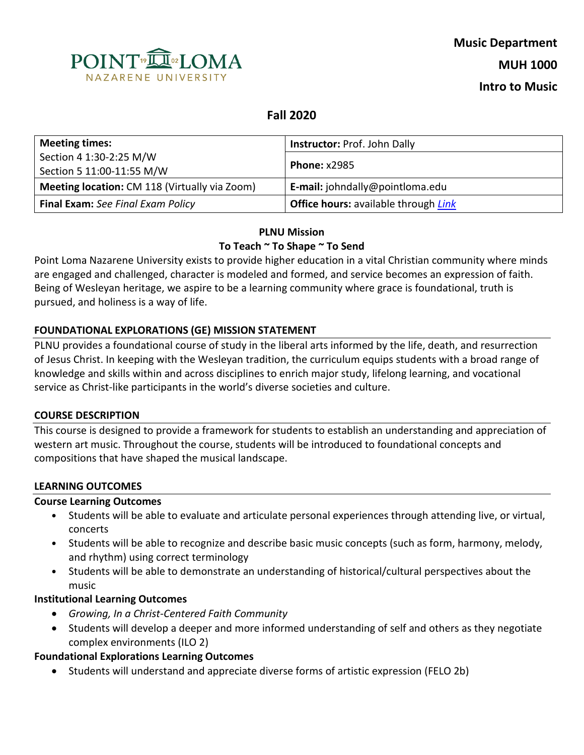

# **Fall 2020**

| <b>Meeting times:</b>                                | <b>Instructor: Prof. John Dally</b><br><b>Phone: x2985</b> |  |
|------------------------------------------------------|------------------------------------------------------------|--|
| Section 4 1:30-2:25 M/W                              |                                                            |  |
| Section 5 11:00-11:55 M/W                            |                                                            |  |
| <b>Meeting location: CM 118 (Virtually via Zoom)</b> | E-mail: johndally@pointloma.edu                            |  |
| <b>Final Exam:</b> See Final Exam Policy             | <b>Office hours:</b> available through <i>Link</i>         |  |

# **PLNU Mission To Teach ~ To Shape ~ To Send**

Point Loma Nazarene University exists to provide higher education in a vital Christian community where minds are engaged and challenged, character is modeled and formed, and service becomes an expression of faith. Being of Wesleyan heritage, we aspire to be a learning community where grace is foundational, truth is pursued, and holiness is a way of life.

# **FOUNDATIONAL EXPLORATIONS (GE) MISSION STATEMENT**

PLNU provides a foundational course of study in the liberal arts informed by the life, death, and resurrection of Jesus Christ. In keeping with the Wesleyan tradition, the curriculum equips students with a broad range of knowledge and skills within and across disciplines to enrich major study, lifelong learning, and vocational service as Christ-like participants in the world's diverse societies and culture.

#### **COURSE DESCRIPTION**

This course is designed to provide a framework for students to establish an understanding and appreciation of western art music. Throughout the course, students will be introduced to foundational concepts and compositions that have shaped the musical landscape.

## **LEARNING OUTCOMES**

## **Course Learning Outcomes**

- Students will be able to evaluate and articulate personal experiences through attending live, or virtual, concerts
- Students will be able to recognize and describe basic music concepts (such as form, harmony, melody, and rhythm) using correct terminology
- Students will be able to demonstrate an understanding of historical/cultural perspectives about the music

#### **Institutional Learning Outcomes**

- *Growing, In a Christ-Centered Faith Community*
- Students will develop a deeper and more informed understanding of self and others as they negotiate complex environments (ILO 2)

#### **Foundational Explorations Learning Outcomes**

• Students will understand and appreciate diverse forms of artistic expression (FELO 2b)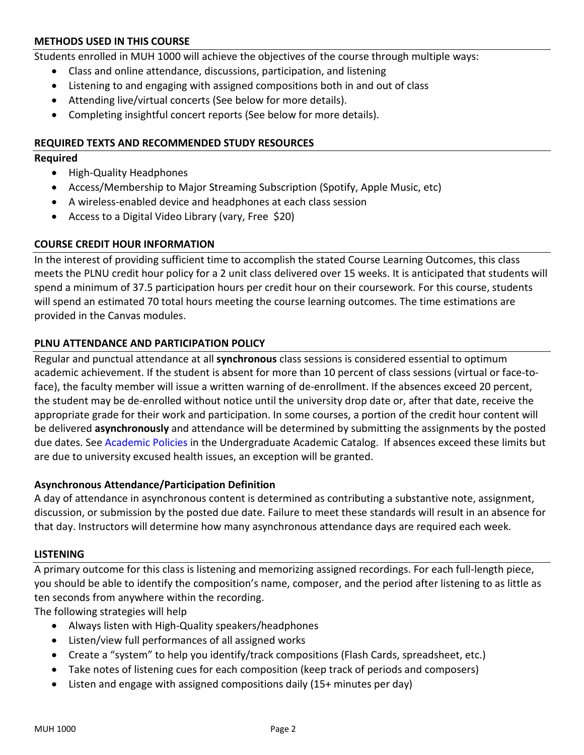### **METHODS USED IN THIS COURSE**

Students enrolled in MUH 1000 will achieve the objectives of the course through multiple ways:

- Class and online attendance, discussions, participation, and listening
- Listening to and engaging with assigned compositions both in and out of class
- Attending live/virtual concerts (See below for more details).
- Completing insightful concert reports (See below for more details).

#### **REQUIRED TEXTS AND RECOMMENDED STUDY RESOURCES**

#### **Required**

- High-Quality Headphones
- Access/Membership to Major Streaming Subscription (Spotify, Apple Music, etc)
- A wireless-enabled device and headphones at each class session
- Access to a Digital Video Library (vary, Free \$20)

#### **COURSE CREDIT HOUR INFORMATION**

In the interest of providing sufficient time to accomplish the stated Course Learning Outcomes, this class meets the PLNU credit hour policy for a 2 unit class delivered over 15 weeks. It is anticipated that students will spend a minimum of 37.5 participation hours per credit hour on their coursework. For this course, students will spend an estimated 70 total hours meeting the course learning outcomes. The time estimations are provided in the Canvas modules.

#### **PLNU ATTENDANCE AND PARTICIPATION POLICY**

Regular and punctual attendance at all **synchronous** class sessions is considered essential to optimum academic achievement. If the student is absent for more than 10 percent of class sessions (virtual or face-toface), the faculty member will issue a written warning of de-enrollment. If the absences exceed 20 percent, the student may be de-enrolled without notice until the university drop date or, after that date, receive the appropriate grade for their work and participation. In some courses, a portion of the credit hour content will be delivered **asynchronously** and attendance will be determined by submitting the assignments by the posted due dates. See [Academic Policies](https://catalog.pointloma.edu/content.php?catoid=46&navoid=2650#Class_Attendance) in the Undergraduate Academic Catalog. If absences exceed these limits but are due to university excused health issues, an exception will be granted.

#### **Asynchronous Attendance/Participation Definition**

A day of attendance in asynchronous content is determined as contributing a substantive note, assignment, discussion, or submission by the posted due date. Failure to meet these standards will result in an absence for that day. Instructors will determine how many asynchronous attendance days are required each week.

#### **LISTENING**

A primary outcome for this class is listening and memorizing assigned recordings. For each full-length piece, you should be able to identify the composition's name, composer, and the period after listening to as little as ten seconds from anywhere within the recording.

The following strategies will help

- Always listen with High-Quality speakers/headphones
- Listen/view full performances of all assigned works
- Create a "system" to help you identify/track compositions (Flash Cards, spreadsheet, etc.)
- Take notes of listening cues for each composition (keep track of periods and composers)
- Listen and engage with assigned compositions daily (15+ minutes per day)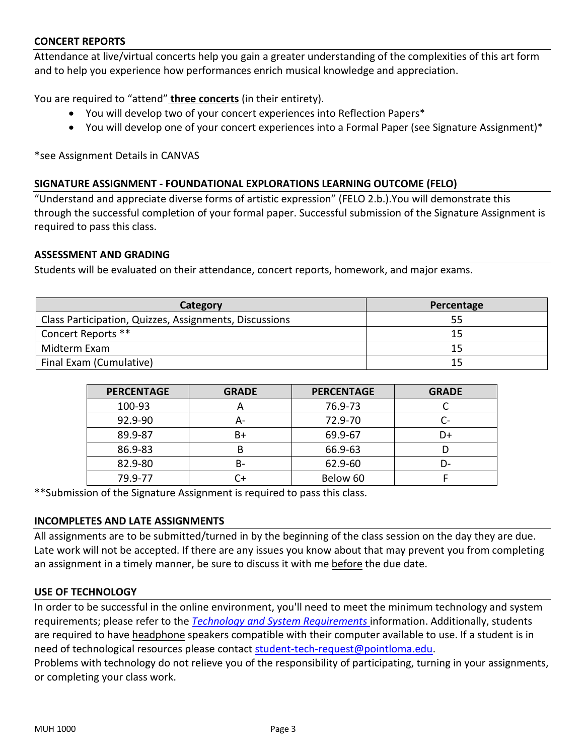#### **CONCERT REPORTS**

Attendance at live/virtual concerts help you gain a greater understanding of the complexities of this art form and to help you experience how performances enrich musical knowledge and appreciation.

You are required to "attend" **three concerts** (in their entirety).

- You will develop two of your concert experiences into Reflection Papers\*
- You will develop one of your concert experiences into a Formal Paper (see Signature Assignment)\*

\*see Assignment Details in CANVAS

#### **SIGNATURE ASSIGNMENT - FOUNDATIONAL EXPLORATIONS LEARNING OUTCOME (FELO)**

"Understand and appreciate diverse forms of artistic expression" (FELO 2.b.).You will demonstrate this through the successful completion of your formal paper. Successful submission of the Signature Assignment is required to pass this class.

#### **ASSESSMENT AND GRADING**

Students will be evaluated on their attendance, concert reports, homework, and major exams.

| Category                                               | Percentage |  |
|--------------------------------------------------------|------------|--|
| Class Participation, Quizzes, Assignments, Discussions | 55         |  |
| Concert Reports **                                     |            |  |
| Midterm Exam                                           |            |  |
| Final Exam (Cumulative)                                |            |  |

| <b>PERCENTAGE</b> | <b>GRADE</b> | <b>PERCENTAGE</b> | <b>GRADE</b> |
|-------------------|--------------|-------------------|--------------|
| 100-93            | $\mathsf{A}$ | 76.9-73           |              |
| 92.9-90           | А-           | 72.9-70           | - آ          |
| 89.9-87           | B+           | 69.9-67           | D+           |
| 86.9-83           | B            | 66.9-63           |              |
| 82.9-80           | B-           | 62.9-60           | D-           |
| 79.9-77           |              | Below 60          |              |

\*\*Submission of the Signature Assignment is required to pass this class.

#### **INCOMPLETES AND LATE ASSIGNMENTS**

All assignments are to be submitted/turned in by the beginning of the class session on the day they are due. Late work will not be accepted. If there are any issues you know about that may prevent you from completing an assignment in a timely manner, be sure to discuss it with me before the due date.

#### **USE OF TECHNOLOGY**

In order to be successful in the online environment, you'll need to meet the minimum technology and system requirements; please refer to the *[Technology and System Requirements](https://help.pointloma.edu/TDClient/1808/Portal/KB/ArticleDet?ID=108349)* information. Additionally, students are required to have headphone speakers compatible with their computer available to use. If a student is in need of technological resources please contact [student-tech-request@pointloma.edu.](mailto:student-tech-request@pointloma.edu)

Problems with technology do not relieve you of the responsibility of participating, turning in your assignments, or completing your class work.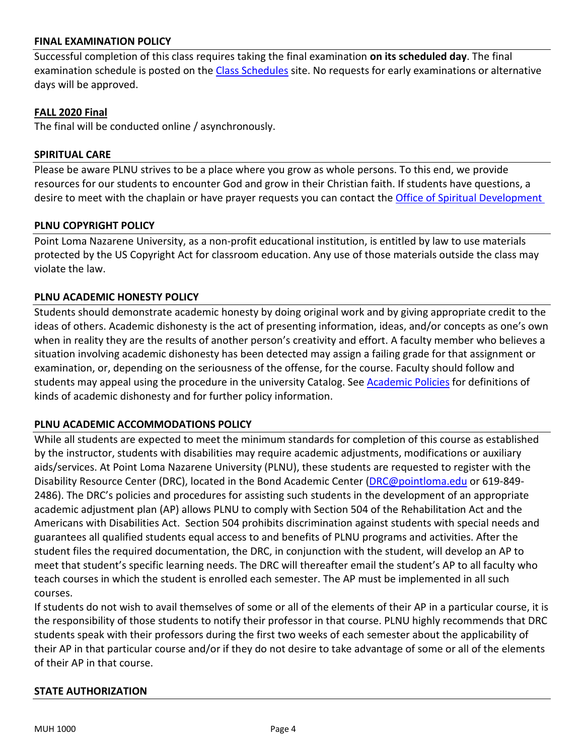#### **FINAL EXAMINATION POLICY**

Successful completion of this class requires taking the final examination **on its scheduled day**. The final examination schedule is posted on the [Class Schedules](http://www.pointloma.edu/experience/academics/class-schedules) site. No requests for early examinations or alternative days will be approved.

#### **FALL 2020 Final**

The final will be conducted online / asynchronously.

#### **SPIRITUAL CARE**

Please be aware PLNU strives to be a place where you grow as whole persons. To this end, we provide resources for our students to encounter God and grow in their Christian faith. If students have questions, a desire to meet with the chaplain or have prayer requests you can contact th[e Office of Spiritual Development](https://www.pointloma.edu/offices/spiritual-development)

#### **PLNU COPYRIGHT POLICY**

Point Loma Nazarene University, as a non-profit educational institution, is entitled by law to use materials protected by the US Copyright Act for classroom education. Any use of those materials outside the class may violate the law.

#### **PLNU ACADEMIC HONESTY POLICY**

Students should demonstrate academic honesty by doing original work and by giving appropriate credit to the ideas of others. Academic dishonesty is the act of presenting information, ideas, and/or concepts as one's own when in reality they are the results of another person's creativity and effort. A faculty member who believes a situation involving academic dishonesty has been detected may assign a failing grade for that assignment or examination, or, depending on the seriousness of the offense, for the course. Faculty should follow and students may appeal using the procedure in the university Catalog. See **Academic Policies** for definitions of kinds of academic dishonesty and for further policy information.

#### **PLNU ACADEMIC ACCOMMODATIONS POLICY**

While all students are expected to meet the minimum standards for completion of this course as established by the instructor, students with disabilities may require academic adjustments, modifications or auxiliary aids/services. At Point Loma Nazarene University (PLNU), these students are requested to register with the Disability Resource Center (DRC), located in the Bond Academic Center [\(DRC@pointloma.edu](mailto:DRC@pointloma.edu) or 619-849- 2486). The DRC's policies and procedures for assisting such students in the development of an appropriate academic adjustment plan (AP) allows PLNU to comply with Section 504 of the Rehabilitation Act and the Americans with Disabilities Act. Section 504 prohibits discrimination against students with special needs and guarantees all qualified students equal access to and benefits of PLNU programs and activities. After the student files the required documentation, the DRC, in conjunction with the student, will develop an AP to meet that student's specific learning needs. The DRC will thereafter email the student's AP to all faculty who teach courses in which the student is enrolled each semester. The AP must be implemented in all such courses.

If students do not wish to avail themselves of some or all of the elements of their AP in a particular course, it is the responsibility of those students to notify their professor in that course. PLNU highly recommends that DRC students speak with their professors during the first two weeks of each semester about the applicability of their AP in that particular course and/or if they do not desire to take advantage of some or all of the elements of their AP in that course.

#### **STATE AUTHORIZATION**